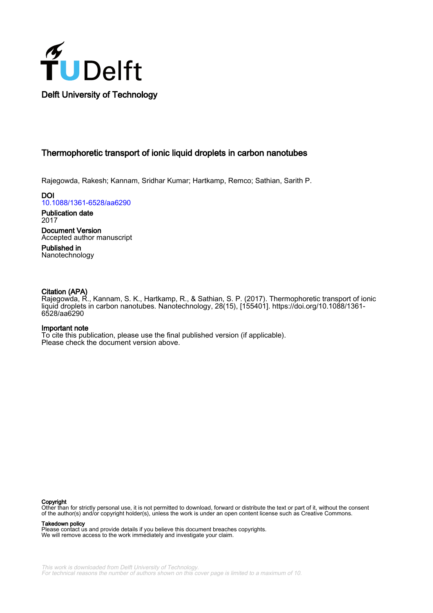

## Thermophoretic transport of ionic liquid droplets in carbon nanotubes

Rajegowda, Rakesh; Kannam, Sridhar Kumar; Hartkamp, Remco; Sathian, Sarith P.

**DOI** [10.1088/1361-6528/aa6290](https://doi.org/10.1088/1361-6528/aa6290)

Publication date 2017

Document Version Accepted author manuscript

Published in Nanotechnology

### Citation (APA)

Rajegowda, R., Kannam, S. K., Hartkamp, R., & Sathian, S. P. (2017). Thermophoretic transport of ionic liquid droplets in carbon nanotubes. Nanotechnology, 28(15), [155401]. https://doi.org/10.1088/1361- 6528/aa6290

#### Important note

To cite this publication, please use the final published version (if applicable). Please check the document version above.

#### Copyright

Other than for strictly personal use, it is not permitted to download, forward or distribute the text or part of it, without the consent of the author(s) and/or copyright holder(s), unless the work is under an open content license such as Creative Commons.

Takedown policy

Please contact us and provide details if you believe this document breaches copyrights. We will remove access to the work immediately and investigate your claim.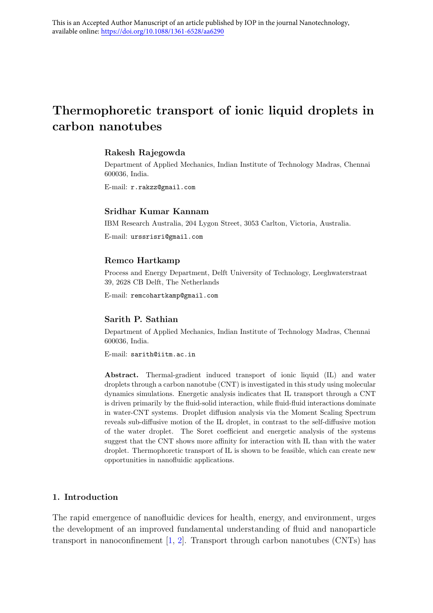# Thermophoretic transport of ionic liquid droplets in carbon nanotubes

## Rakesh Rajegowda

Department of Applied Mechanics, Indian Institute of Technology Madras, Chennai 600036, India.

E-mail: r.rakzz@gmail.com

## Sridhar Kumar Kannam

IBM Research Australia, 204 Lygon Street, 3053 Carlton, Victoria, Australia.

E-mail: urssrisri@gmail.com

#### Remco Hartkamp

Process and Energy Department, Delft University of Technology, Leeghwaterstraat 39, 2628 CB Delft, The Netherlands

E-mail: remcohartkamp@gmail.com

#### Sarith P. Sathian

Department of Applied Mechanics, Indian Institute of Technology Madras, Chennai 600036, India.

E-mail: sarith@iitm.ac.in

Abstract. Thermal-gradient induced transport of ionic liquid (IL) and water droplets through a carbon nanotube (CNT) is investigated in this study using molecular dynamics simulations. Energetic analysis indicates that IL transport through a CNT is driven primarily by the fluid-solid interaction, while fluid-fluid interactions dominate in water-CNT systems. Droplet diffusion analysis via the Moment Scaling Spectrum reveals sub-diffusive motion of the IL droplet, in contrast to the self-diffusive motion of the water droplet. The Soret coefficient and energetic analysis of the systems suggest that the CNT shows more affinity for interaction with IL than with the water droplet. Thermophoretic transport of IL is shown to be feasible, which can create new opportunities in nanofluidic applications.

## 1. Introduction

The rapid emergence of nanofluidic devices for health, energy, and environment, urges the development of an improved fundamental understanding of fluid and nanoparticle transport in nanoconfinement  $[1, 2]$  $[1, 2]$  $[1, 2]$ . Transport through carbon nanotubes (CNTs) has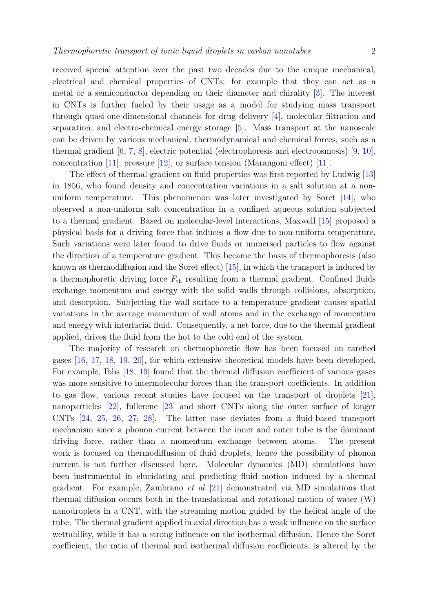received special attention over the past two decades due to the unique mechanical, electrical and chemical properties of CNTs; for example that they can act as a metal or a semiconductor depending on their diameter and chirality [\[3\]](#page-13-2). The interest in CNTs is further fueled by their usage as a model for studying mass transport through quasi-one-dimensional channels for drug delivery [\[4\]](#page-13-3), molecular filtration and

separation, and electro-chemical energy storage [\[5\]](#page-13-4). Mass transport at the nanoscale can be driven by various mechanical, thermodynamical and chemical forces, such as a thermal gradient [\[6,](#page-13-5) [7,](#page-13-6) [8\]](#page-14-0), electric potential (electrophoresis and electroosmosis) [\[9,](#page-14-1) [10\]](#page-14-2), concentration [\[11\]](#page-14-3), pressure [\[12\]](#page-14-4), or surface tension (Marangoni effect) [\[11\]](#page-14-3).

The effect of thermal gradient on fluid properties was first reported by Ludwig [\[13\]](#page-14-5) in 1856, who found density and concentration variations in a salt solution at a nonuniform temperature. This phenomenon was later investigated by Soret [\[14\]](#page-14-6), who observed a non-uniform salt concentration in a confined aqueous solution subjected to a thermal gradient. Based on molecular-level interactions, Maxwell [\[15\]](#page-14-7) proposed a physical basis for a driving force that induces a flow due to non-uniform temperature. Such variations were later found to drive fluids or immersed particles to flow against the direction of a temperature gradient. This became the basis of thermophoresis (also known as thermodiffusion and the Soret effect) [\[15\]](#page-14-7), in which the transport is induced by a thermophoretic driving force  $F_{\text{th}}$  resulting from a thermal gradient. Confined fluids exchange momentum and energy with the solid walls through collisions, absorption, and desorption. Subjecting the wall surface to a temperature gradient causes spatial variations in the average momentum of wall atoms and in the exchange of momentum and energy with interfacial fluid. Consequently, a net force, due to the thermal gradient applied, drives the fluid from the hot to the cold end of the system.

The majority of research on thermophoretic flow has been focused on rarefied gases [\[16,](#page-14-8) [17,](#page-14-9) [18,](#page-14-10) [19,](#page-14-11) [20\]](#page-14-12), for which extensive theoretical models have been developed. For example, Ibbs [\[18,](#page-14-10) [19\]](#page-14-11) found that the thermal diffusion coefficient of various gases was more sensitive to intermolecular forces than the transport coefficients. In addition to gas flow, various recent studies have focused on the transport of droplets [\[21\]](#page-14-13), nanoparticles [\[22\]](#page-14-14), fullerene [\[23\]](#page-14-15) and short CNTs along the outer surface of longer CNTs [\[24,](#page-14-16) [25,](#page-14-17) [26,](#page-14-18) [27,](#page-14-19) [28\]](#page-14-20). The latter case deviates from a fluid-based transport mechanism since a phonon current between the inner and outer tube is the dominant driving force, rather than a momentum exchange between atoms. The present work is focused on thermodiffusion of fluid droplets, hence the possibility of phonon current is not further discussed here. Molecular dynamics (MD) simulations have been instrumental in elucidating and predicting fluid motion induced by a thermal gradient. For example, Zambrano et al [\[21\]](#page-14-13) demonstrated via MD simulations that thermal diffusion occurs both in the translational and rotational motion of water (W) nanodroplets in a CNT, with the streaming motion guided by the helical angle of the tube. The thermal gradient applied in axial direction has a weak influence on the surface wettability, while it has a strong influence on the isothermal diffusion. Hence the Soret coefficient, the ratio of thermal and isothermal diffusion coefficients, is altered by the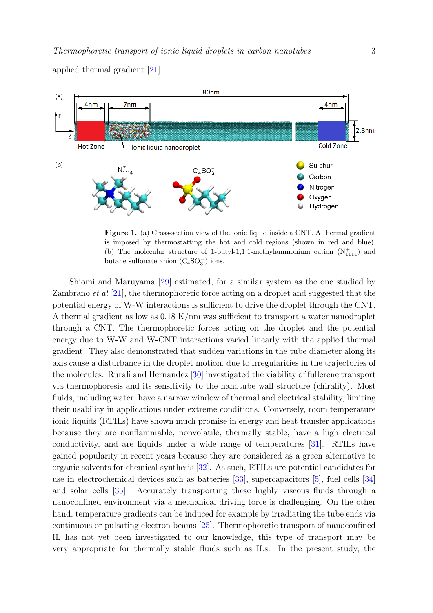applied thermal gradient [\[21\]](#page-14-13).



<span id="page-3-0"></span>Figure 1. (a) Cross-section view of the ionic liquid inside a CNT. A thermal gradient is imposed by thermostatting the hot and cold regions (shown in red and blue). (b) The molecular structure of 1-butyl-1,1,1-methylammonium cation  $(N<sup>+</sup><sub>1114</sub>)$  and butane sulfonate anion  $(C_4SO_3^-)$  ions.

Shiomi and Maruyama [\[29\]](#page-15-0) estimated, for a similar system as the one studied by Zambrano et al [\[21\]](#page-14-13), the thermophoretic force acting on a droplet and suggested that the potential energy of W-W interactions is sufficient to drive the droplet through the CNT. A thermal gradient as low as  $0.18 \text{ K/mm}$  was sufficient to transport a water nanodroplet through a CNT. The thermophoretic forces acting on the droplet and the potential energy due to W-W and W-CNT interactions varied linearly with the applied thermal gradient. They also demonstrated that sudden variations in the tube diameter along its axis cause a disturbance in the droplet motion, due to irregularities in the trajectories of the molecules. Rurali and Hernandez [\[30\]](#page-15-1) investigated the viability of fullerene transport via thermophoresis and its sensitivity to the nanotube wall structure (chirality). Most fluids, including water, have a narrow window of thermal and electrical stability, limiting their usability in applications under extreme conditions. Conversely, room temperature ionic liquids (RTILs) have shown much promise in energy and heat transfer applications because they are nonflammable, nonvolatile, thermally stable, have a high electrical conductivity, and are liquids under a wide range of temperatures [\[31\]](#page-15-2). RTILs have gained popularity in recent years because they are considered as a green alternative to organic solvents for chemical synthesis [\[32\]](#page-15-3). As such, RTILs are potential candidates for use in electrochemical devices such as batteries [\[33\]](#page-15-4), supercapacitors [\[5\]](#page-13-4), fuel cells [\[34\]](#page-15-5) and solar cells [\[35\]](#page-15-6). Accurately transporting these highly viscous fluids through a nanoconfined environment via a mechanical driving force is challenging. On the other hand, temperature gradients can be induced for example by irradiating the tube ends via continuous or pulsating electron beams [\[25\]](#page-14-17). Thermophoretic transport of nanoconfined IL has not yet been investigated to our knowledge, this type of transport may be very appropriate for thermally stable fluids such as ILs. In the present study, the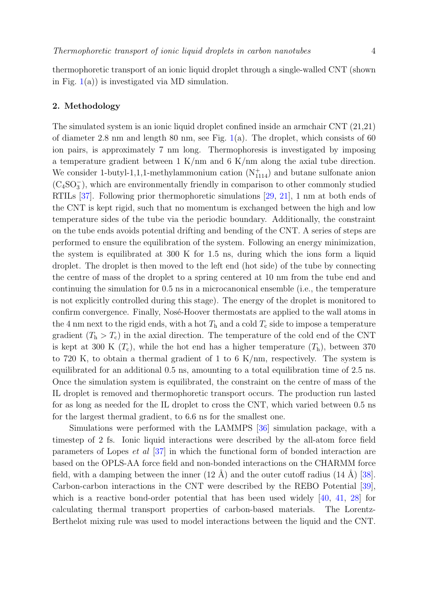thermophoretic transport of an ionic liquid droplet through a single-walled CNT (shown in Fig.  $1(a)$  $1(a)$ ) is investigated via MD simulation.

## 2. Methodology

The simulated system is an ionic liquid droplet confined inside an armchair CNT (21,21) of diameter 2.8 nm and length 80 nm, see Fig. [1\(](#page-3-0)a). The droplet, which consists of 60 ion pairs, is approximately 7 nm long. Thermophoresis is investigated by imposing a temperature gradient between 1 K/nm and 6 K/nm along the axial tube direction. We consider 1-butyl-1,1,1-methylammonium cation  $(N<sub>1114</sub><sup>+</sup>)$  and butane sulfonate anion (C4SO<sup>−</sup> 3 ), which are environmentally friendly in comparison to other commonly studied RTILs [\[37\]](#page-15-7). Following prior thermophoretic simulations [\[29,](#page-15-0) [21\]](#page-14-13), 1 nm at both ends of the CNT is kept rigid, such that no momentum is exchanged between the high and low temperature sides of the tube via the periodic boundary. Additionally, the constraint on the tube ends avoids potential drifting and bending of the CNT. A series of steps are performed to ensure the equilibration of the system. Following an energy minimization, the system is equilibrated at 300 K for 1.5 ns, during which the ions form a liquid droplet. The droplet is then moved to the left end (hot side) of the tube by connecting the centre of mass of the droplet to a spring centered at 10 nm from the tube end and continuing the simulation for 0.5 ns in a microcanonical ensemble (i.e., the temperature is not explicitly controlled during this stage). The energy of the droplet is monitored to confirm convergence. Finally, Nosé-Hoover thermostats are applied to the wall atoms in the 4 nm next to the rigid ends, with a hot  $T<sub>h</sub>$  and a cold  $T<sub>c</sub>$  side to impose a temperature gradient  $(T_h > T_c)$  in the axial direction. The temperature of the cold end of the CNT is kept at 300 K  $(T_c)$ , while the hot end has a higher temperature  $(T_h)$ , between 370 to 720 K, to obtain a thermal gradient of 1 to 6 K/nm, respectively. The system is equilibrated for an additional 0.5 ns, amounting to a total equilibration time of 2.5 ns. Once the simulation system is equilibrated, the constraint on the centre of mass of the IL droplet is removed and thermophoretic transport occurs. The production run lasted for as long as needed for the IL droplet to cross the CNT, which varied between 0.5 ns for the largest thermal gradient, to 6.6 ns for the smallest one.

Simulations were performed with the LAMMPS [\[36\]](#page-15-8) simulation package, with a timestep of 2 fs. Ionic liquid interactions were described by the all-atom force field parameters of Lopes et al [\[37\]](#page-15-7) in which the functional form of bonded interaction are based on the OPLS-AA force field and non-bonded interactions on the CHARMM force field, with a damping between the inner  $(12 \text{ Å})$  and the outer cutoff radius  $(14 \text{ Å})$  [\[38\]](#page-15-9). Carbon-carbon interactions in the CNT were described by the REBO Potential [\[39\]](#page-15-10), which is a reactive bond-order potential that has been used widely [\[40,](#page-15-11) [41,](#page-15-12) [28\]](#page-14-20) for calculating thermal transport properties of carbon-based materials. The Lorentz-Berthelot mixing rule was used to model interactions between the liquid and the CNT.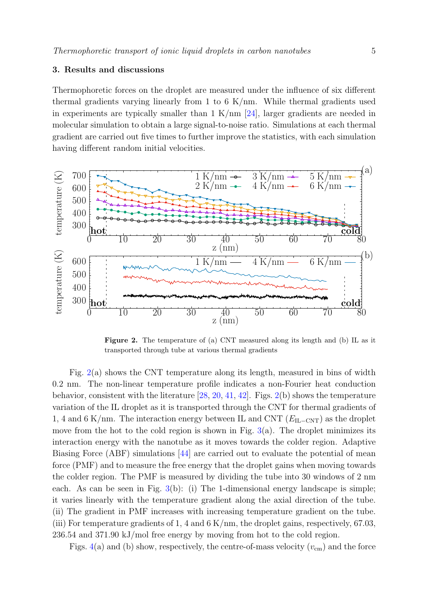## 3. Results and discussions

Thermophoretic forces on the droplet are measured under the influence of six different thermal gradients varying linearly from 1 to 6 K/nm. While thermal gradients used in experiments are typically smaller than  $1 \text{ K/mm}$  [\[24\]](#page-14-16), larger gradients are needed in molecular simulation to obtain a large signal-to-noise ratio. Simulations at each thermal gradient are carried out five times to further improve the statistics, with each simulation having different random initial velocities.



<span id="page-5-0"></span>Figure 2. The temperature of (a) CNT measured along its length and (b) IL as it transported through tube at various thermal gradients

Fig. [2\(](#page-5-0)a) shows the CNT temperature along its length, measured in bins of width 0.2 nm. The non-linear temperature profile indicates a non-Fourier heat conduction behavior, consistent with the literature [\[28,](#page-14-20) [20,](#page-14-12) [41,](#page-15-12) [42\]](#page-15-13). Figs. [2\(](#page-5-0)b) shows the temperature variation of the IL droplet as it is transported through the CNT for thermal gradients of 1, 4 and 6 K/nm. The interaction energy between IL and CNT  $(E<sub>II</sub>–CNT)$  as the droplet move from the hot to the cold region is shown in Fig.  $3(a)$  $3(a)$ . The droplet minimizes its interaction energy with the nanotube as it moves towards the colder region. Adaptive Biasing Force (ABF) simulations [\[44\]](#page-15-14) are carried out to evaluate the potential of mean force (PMF) and to measure the free energy that the droplet gains when moving towards the colder region. The PMF is measured by dividing the tube into 30 windows of 2 nm each. As can be seen in Fig. [3\(](#page-6-0)b): (i) The 1-dimensional energy landscape is simple; it varies linearly with the temperature gradient along the axial direction of the tube. (ii) The gradient in PMF increases with increasing temperature gradient on the tube. (iii) For temperature gradients of 1, 4 and 6 K/nm, the droplet gains, respectively, 67.03, 236.54 and 371.90 kJ/mol free energy by moving from hot to the cold region.

Figs. [4\(](#page-6-1)a) and (b) show, respectively, the centre-of-mass velocity  $(v_{\rm cm})$  and the force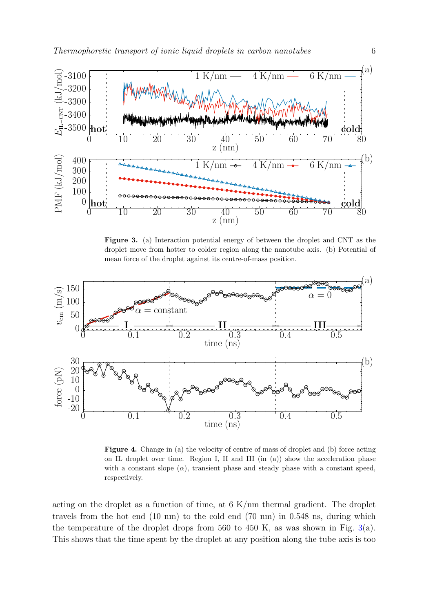

<span id="page-6-0"></span>Figure 3. (a) Interaction potential energy of between the droplet and CNT as the droplet move from hotter to colder region along the nanotube axis. (b) Potential of mean force of the droplet against its centre-of-mass position.



<span id="page-6-1"></span>Figure 4. Change in (a) the velocity of centre of mass of droplet and (b) force acting on IL droplet over time. Region I, II and III (in (a)) show the acceleration phase with a constant slope  $(\alpha)$ , transient phase and steady phase with a constant speed, respectively.

acting on the droplet as a function of time, at 6 K/nm thermal gradient. The droplet travels from the hot end (10 nm) to the cold end (70 nm) in 0.548 ns, during which the temperature of the droplet drops from 560 to 450 K, as was shown in Fig. [3\(](#page-6-0)a). This shows that the time spent by the droplet at any position along the tube axis is too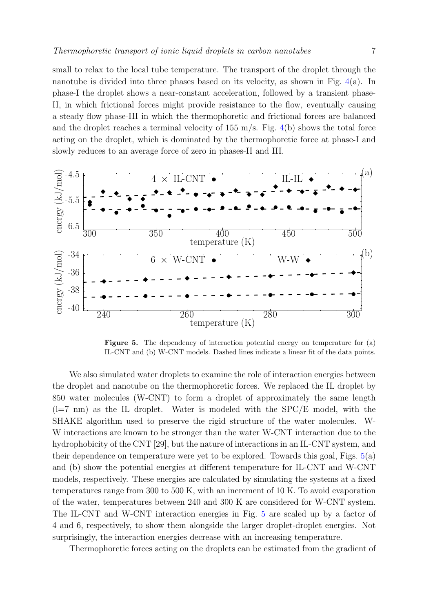small to relax to the local tube temperature. The transport of the droplet through the nanotube is divided into three phases based on its velocity, as shown in Fig. [4\(](#page-6-1)a). In phase-I the droplet shows a near-constant acceleration, followed by a transient phase-II, in which frictional forces might provide resistance to the flow, eventually causing a steady flow phase-III in which the thermophoretic and frictional forces are balanced and the droplet reaches a terminal velocity of  $155 \text{ m/s}$ . Fig. [4\(](#page-6-1)b) shows the total force acting on the droplet, which is dominated by the thermophoretic force at phase-I and slowly reduces to an average force of zero in phases-II and III.



<span id="page-7-0"></span>Figure 5. The dependency of interaction potential energy on temperature for (a) IL-CNT and (b) W-CNT models. Dashed lines indicate a linear fit of the data points.

We also simulated water droplets to examine the role of interaction energies between the droplet and nanotube on the thermophoretic forces. We replaced the IL droplet by 850 water molecules (W-CNT) to form a droplet of approximately the same length  $(l=7 \text{ nm})$  as the IL droplet. Water is modeled with the SPC/E model, with the SHAKE algorithm used to preserve the rigid structure of the water molecules. W-W interactions are known to be stronger than the water W-CNT interaction due to the hydrophobicity of the CNT [29], but the nature of interactions in an IL-CNT system, and their dependence on temperature were yet to be explored. Towards this goal, Figs.  $5(a)$  $5(a)$ and (b) show the potential energies at different temperature for IL-CNT and W-CNT models, respectively. These energies are calculated by simulating the systems at a fixed temperatures range from 300 to 500 K, with an increment of 10 K. To avoid evaporation of the water, temperatures between 240 and 300 K are considered for W-CNT system. The IL-CNT and W-CNT interaction energies in Fig. [5](#page-7-0) are scaled up by a factor of 4 and 6, respectively, to show them alongside the larger droplet-droplet energies. Not surprisingly, the interaction energies decrease with an increasing temperature.

Thermophoretic forces acting on the droplets can be estimated from the gradient of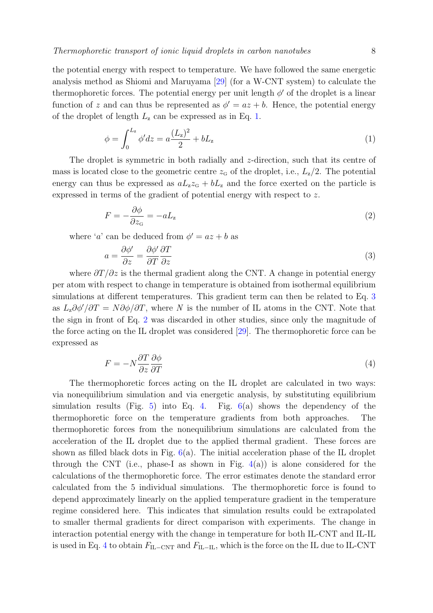the potential energy with respect to temperature. We have followed the same energetic analysis method as Shiomi and Maruyama [\[29\]](#page-15-0) (for a W-CNT system) to calculate the thermophoretic forces. The potential energy per unit length  $\phi'$  of the droplet is a linear function of z and can thus be represented as  $\phi' = az + b$ . Hence, the potential energy of the droplet of length  $L<sub>z</sub>$  can be expressed as in Eq. [1.](#page-8-0)

<span id="page-8-0"></span>
$$
\phi = \int_0^{L_z} \phi' dz = a \frac{(L_z)^2}{2} + bL_z \tag{1}
$$

The droplet is symmetric in both radially and z-direction, such that its centre of mass is located close to the geometric centre  $z_{\rm G}$  of the droplet, i.e.,  $L_{\rm z}/2$ . The potential energy can thus be expressed as  $aL_zz_G + bL_z$  and the force exerted on the particle is expressed in terms of the gradient of potential energy with respect to z.

<span id="page-8-2"></span>
$$
F = -\frac{\partial \phi}{\partial z_{\rm G}} = -aL_{\rm z}
$$
 (2)

where 'a' can be deduced from  $\phi' = az + b$  as

<span id="page-8-1"></span>
$$
a = \frac{\partial \phi'}{\partial z} = \frac{\partial \phi'}{\partial T} \frac{\partial T}{\partial z} \tag{3}
$$

where  $\frac{\partial T}{\partial z}$  is the thermal gradient along the CNT. A change in potential energy per atom with respect to change in temperature is obtained from isothermal equilibrium simulations at different temperatures. This gradient term can then be related to Eq. [3](#page-8-1) as  $L_z\partial\phi'/\partial T = N\partial\phi/\partial T$ , where N is the number of IL atoms in the CNT. Note that the sign in front of Eq. [2](#page-8-2) was discarded in other studies, since only the magnitude of the force acting on the IL droplet was considered [\[29\]](#page-15-0). The thermophoretic force can be expressed as

<span id="page-8-3"></span>
$$
F = -N\frac{\partial T}{\partial z}\frac{\partial \phi}{\partial T} \tag{4}
$$

The thermophoretic forces acting on the IL droplet are calculated in two ways: via nonequilibrium simulation and via energetic analysis, by substituting equilibrium simulation results (Fig. [5\)](#page-7-0) into Eq. [4.](#page-8-3) Fig.  $6(a)$  $6(a)$  shows the dependency of the thermophoretic force on the temperature gradients from both approaches. The thermophoretic forces from the nonequilibrium simulations are calculated from the acceleration of the IL droplet due to the applied thermal gradient. These forces are shown as filled black dots in Fig.  $6(a)$  $6(a)$ . The initial acceleration phase of the IL droplet through the CNT (i.e., phase-I as shown in Fig.  $4(a)$  $4(a)$ ) is alone considered for the calculations of the thermophoretic force. The error estimates denote the standard error calculated from the 5 individual simulations. The thermophoretic force is found to depend approximately linearly on the applied temperature gradient in the temperature regime considered here. This indicates that simulation results could be extrapolated to smaller thermal gradients for direct comparison with experiments. The change in interaction potential energy with the change in temperature for both IL-CNT and IL-IL is used in Eq. [4](#page-8-3) to obtain  $F_{\text{IL}-\text{CNT}}$  and  $F_{\text{IL}-\text{IL}}$ , which is the force on the IL due to IL-CNT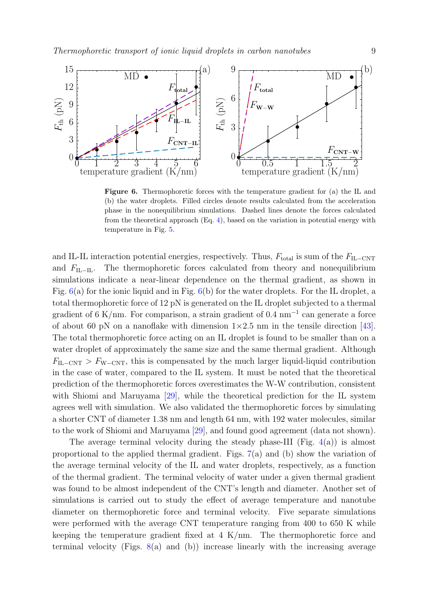

<span id="page-9-0"></span>Figure 6. Thermophoretic forces with the temperature gradient for (a) the IL and (b) the water droplets. Filled circles denote results calculated from the acceleration phase in the nonequilibrium simulations. Dashed lines denote the forces calculated from the theoretical approach (Eq. [4\)](#page-8-3), based on the variation in potential energy with temperature in Fig. [5.](#page-7-0)

and IL-IL interaction potential energies, respectively. Thus,  $F_{total}$  is sum of the  $F_{IL-CNT}$ and  $F_{\text{II},-\text{II}}$ . The thermophoretic forces calculated from theory and nonequilibrium simulations indicate a near-linear dependence on the thermal gradient, as shown in Fig.  $6(a)$  $6(a)$  for the ionic liquid and in Fig.  $6(b)$  for the water droplets. For the IL droplet, a total thermophoretic force of 12 pN is generated on the IL droplet subjected to a thermal gradient of 6 K/nm. For comparison, a strain gradient of  $0.4 \text{ nm}^{-1}$  can generate a force of about 60 pN on a nanoflake with dimension  $1\times2.5$  nm in the tensile direction [\[43\]](#page-15-15). The total thermophoretic force acting on an IL droplet is found to be smaller than on a water droplet of approximately the same size and the same thermal gradient. Although  $F_{\text{IL-CNT}} > F_{\text{W-CNT}}$ , this is compensated by the much larger liquid-liquid contribution in the case of water, compared to the IL system. It must be noted that the theoretical prediction of the thermophoretic forces overestimates the W-W contribution, consistent with Shiomi and Maruyama [\[29\]](#page-15-0), while the theoretical prediction for the IL system agrees well with simulation. We also validated the thermophoretic forces by simulating a shorter CNT of diameter 1.38 nm and length 64 nm, with 192 water molecules, similar to the work of Shiomi and Maruyama [\[29\]](#page-15-0), and found good agreement (data not shown).

The average terminal velocity during the steady phase-III (Fig.  $4(a)$  $4(a)$ ) is almost proportional to the applied thermal gradient. Figs. [7\(](#page-10-0)a) and (b) show the variation of the average terminal velocity of the IL and water droplets, respectively, as a function of the thermal gradient. The terminal velocity of water under a given thermal gradient was found to be almost independent of the CNT's length and diameter. Another set of simulations is carried out to study the effect of average temperature and nanotube diameter on thermophoretic force and terminal velocity. Five separate simulations were performed with the average CNT temperature ranging from 400 to 650 K while keeping the temperature gradient fixed at 4 K/nm. The thermophoretic force and terminal velocity (Figs.  $8(a)$  $8(a)$  and (b)) increase linearly with the increasing average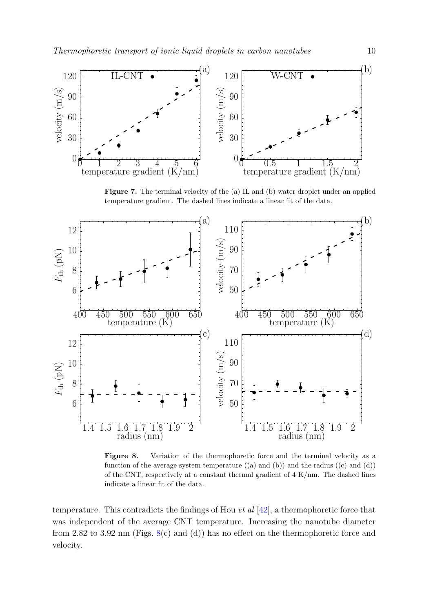

<span id="page-10-0"></span>Figure 7. The terminal velocity of the (a) IL and (b) water droplet under an applied temperature gradient. The dashed lines indicate a linear fit of the data.



<span id="page-10-1"></span>Figure 8. Variation of the thermophoretic force and the terminal velocity as a function of the average system temperature  $((a)$  and  $(b))$  and the radius  $((c)$  and  $(d))$ of the CNT, respectively at a constant thermal gradient of 4 K/nm. The dashed lines indicate a linear fit of the data.

temperature. This contradicts the findings of Hou *et al*  $[42]$ , a thermophoretic force that was independent of the average CNT temperature. Increasing the nanotube diameter from 2.82 to 3.92 nm (Figs.  $8(c)$  $8(c)$  and (d)) has no effect on the thermophoretic force and velocity.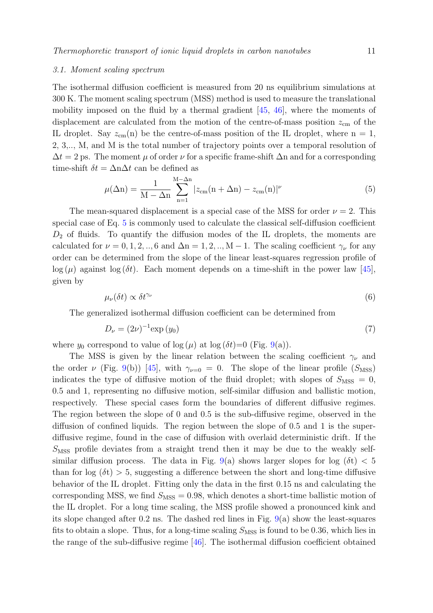#### 3.1. Moment scaling spectrum

The isothermal diffusion coefficient is measured from 20 ns equilibrium simulations at 300 K. The moment scaling spectrum (MSS) method is used to measure the translational mobility imposed on the fluid by a thermal gradient [\[45,](#page-15-16) [46\]](#page-15-17), where the moments of displacement are calculated from the motion of the centre-of-mass position  $z_{\rm cm}$  of the IL droplet. Say  $z_{\rm cm}(n)$  be the centre-of-mass position of the IL droplet, where  $n = 1$ , 2, 3,.., M, and M is the total number of trajectory points over a temporal resolution of  $\Delta t = 2$  ps. The moment  $\mu$  of order  $\nu$  for a specific frame-shift  $\Delta n$  and for a corresponding time-shift  $\delta t = \Delta n \Delta t$  can be defined as

<span id="page-11-0"></span>
$$
\mu(\Delta n) = \frac{1}{M - \Delta n} \sum_{n=1}^{M - \Delta n} |z_{cm}(n + \Delta n) - z_{cm}(n)|^{\nu}
$$
\n(5)

The mean-squared displacement is a special case of the MSS for order  $\nu = 2$ . This special case of Eq. [5](#page-11-0) is commonly used to calculate the classical self-diffusion coefficient  $D_2$  of fluids. To quantify the diffusion modes of the IL droplets, the moments are calculated for  $\nu = 0, 1, 2, ..., 6$  and  $\Delta n = 1, 2, ..., M - 1$ . The scaling coefficient  $\gamma_{\nu}$  for any order can be determined from the slope of the linear least-squares regression profile of  $\log(\mu)$  against  $\log(\delta t)$ . Each moment depends on a time-shift in the power law [\[45\]](#page-15-16). given by

$$
\mu_{\nu}(\delta t) \propto \delta t^{\gamma_{\nu}} \tag{6}
$$

The generalized isothermal diffusion coefficient can be determined from

$$
D_{\nu} = (2\nu)^{-1} \exp\left(y_0\right) \tag{7}
$$

where  $y_0$  correspond to value of  $\log(\mu)$  at  $\log(\delta t)=0$  (Fig. [9\(](#page-12-0)a)).

The MSS is given by the linear relation between the scaling coefficient  $\gamma_{\nu}$  and the order  $\nu$  (Fig. [9\(](#page-12-0)b)) [\[45\]](#page-15-16), with  $\gamma_{\nu=0} = 0$ . The slope of the linear profile ( $S_{\text{MSS}}$ ) indicates the type of diffusive motion of the fluid droplet; with slopes of  $S_{\text{MSS}} = 0$ , 0.5 and 1, representing no diffusive motion, self-similar diffusion and ballistic motion, respectively. These special cases form the boundaries of different diffusive regimes. The region between the slope of 0 and 0.5 is the sub-diffusive regime, observed in the diffusion of confined liquids. The region between the slope of 0.5 and 1 is the superdiffusive regime, found in the case of diffusion with overlaid deterministic drift. If the  $S<sub>MSS</sub>$  profile deviates from a straight trend then it may be due to the weakly self-similar diffusion process. The data in Fig. [9\(](#page-12-0)a) shows larger slopes for log  $(\delta t) < 5$ than for  $log(\delta t) > 5$ , suggesting a difference between the short and long-time diffusive behavior of the IL droplet. Fitting only the data in the first 0.15 ns and calculating the corresponding MSS, we find  $S_{\text{MSS}} = 0.98$ , which denotes a short-time ballistic motion of the IL droplet. For a long time scaling, the MSS profile showed a pronounced kink and its slope changed after 0.2 ns. The dashed red lines in Fig. [9\(](#page-12-0)a) show the least-squares fits to obtain a slope. Thus, for a long-time scaling  $S_{\text{MSS}}$  is found to be 0.36, which lies in the range of the sub-diffusive regime [\[46\]](#page-15-17). The isothermal diffusion coefficient obtained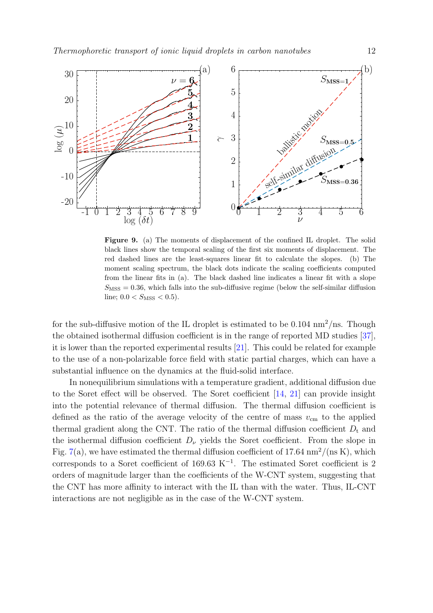

<span id="page-12-0"></span>Figure 9. (a) The moments of displacement of the confined IL droplet. The solid black lines show the temporal scaling of the first six moments of displacement. The red dashed lines are the least-squares linear fit to calculate the slopes. (b) The moment scaling spectrum, the black dots indicate the scaling coefficients computed from the linear fits in (a). The black dashed line indicates a linear fit with a slope  $S_{\text{MSS}} = 0.36$ , which falls into the sub-diffusive regime (below the self-similar diffusion line;  $0.0 < S_{MSS} < 0.5$ ).

for the sub-diffusive motion of the IL droplet is estimated to be  $0.104 \text{ nm}^2/\text{ns}$ . Though the obtained isothermal diffusion coefficient is in the range of reported MD studies [\[37\]](#page-15-7), it is lower than the reported experimental results [\[21\]](#page-14-13). This could be related for example to the use of a non-polarizable force field with static partial charges, which can have a substantial influence on the dynamics at the fluid-solid interface.

In nonequilibrium simulations with a temperature gradient, additional diffusion due to the Soret effect will be observed. The Soret coefficient [\[14,](#page-14-6) [21\]](#page-14-13) can provide insight into the potential relevance of thermal diffusion. The thermal diffusion coefficient is defined as the ratio of the average velocity of the centre of mass  $v_{\rm cm}$  to the applied thermal gradient along the CNT. The ratio of the thermal diffusion coefficient  $D_t$  and the isothermal diffusion coefficient  $D_{\nu}$  yields the Soret coefficient. From the slope in Fig. [7\(](#page-10-0)a), we have estimated the thermal diffusion coefficient of 17.64  $nm^2/(ns K)$ , which corresponds to a Soret coefficient of 169.63  $K^{-1}$ . The estimated Soret coefficient is 2 orders of magnitude larger than the coefficients of the W-CNT system, suggesting that the CNT has more affinity to interact with the IL than with the water. Thus, IL-CNT interactions are not negligible as in the case of the W-CNT system.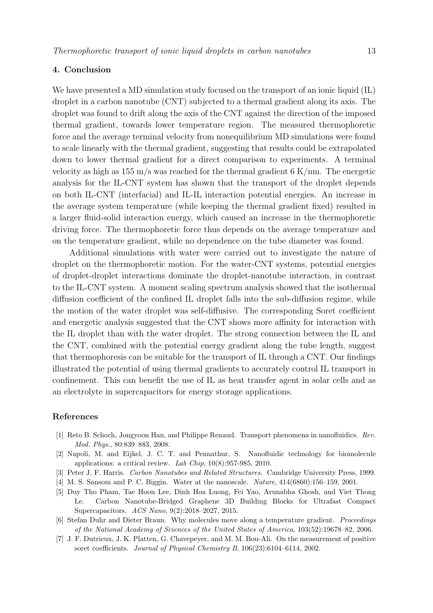## 4. Conclusion

We have presented a MD simulation study focused on the transport of an ionic liquid (IL) droplet in a carbon nanotube (CNT) subjected to a thermal gradient along its axis. The droplet was found to drift along the axis of the CNT against the direction of the imposed thermal gradient, towards lower temperature region. The measured thermophoretic force and the average terminal velocity from nonequilibrium MD simulations were found to scale linearly with the thermal gradient, suggesting that results could be extrapolated down to lower thermal gradient for a direct comparison to experiments. A terminal velocity as high as  $155 \text{ m/s}$  was reached for the thermal gradient 6 K/nm. The energetic analysis for the IL-CNT system has shown that the transport of the droplet depends on both IL-CNT (interfacial) and IL-IL interaction potential energies. An increase in the average system temperature (while keeping the thermal gradient fixed) resulted in a larger fluid-solid interaction energy, which caused an increase in the thermophoretic driving force. The thermophoretic force thus depends on the average temperature and on the temperature gradient, while no dependence on the tube diameter was found.

Additional simulations with water were carried out to investigate the nature of droplet on the thermophoretic motion. For the water-CNT systems, potential energies of droplet-droplet interactions dominate the droplet-nanotube interaction, in contrast to the IL-CNT system. A moment scaling spectrum analysis showed that the isothermal diffusion coefficient of the confined IL droplet falls into the sub-diffusion regime, while the motion of the water droplet was self-diffusive. The corresponding Soret coefficient and energetic analysis suggested that the CNT shows more affinity for interaction with the IL droplet than with the water droplet. The strong connection between the IL and the CNT, combined with the potential energy gradient along the tube length, suggest that thermophoresis can be suitable for the transport of IL through a CNT. Our findings illustrated the potential of using thermal gradients to accurately control IL transport in confinement. This can benefit the use of IL as heat transfer agent in solar cells and as an electrolyte in supercapacitors for energy storage applications.

## References

- <span id="page-13-0"></span>[1] Reto B. Schoch, Jongyoon Han, and Philippe Renaud. Transport phenomena in nanofluidics. Rev. Mod. Phys., 80:839–883, 2008.
- <span id="page-13-1"></span>[2] Napoli, M. and Eijkel, J. C. T. and Pennathur, S. Nanofluidic technology for biomolecule applications: a critical review. Lab Chip, 10(8):957-985, 2010.
- <span id="page-13-2"></span>[3] Peter J. F. Harris. Carbon Nanotubes and Related Structures. Cambridge University Press, 1999.
- <span id="page-13-3"></span>[4] M. S. Sansom and P. C. Biggin. Water at the nanoscale. Nature, 414(6860):156–159, 2001.
- <span id="page-13-4"></span>[5] Duy Tho Pham, Tae Hoon Lee, Dinh Hoa Luong, Fei Yao, Arunabha Ghosh, and Viet Thong Le. Carbon Nanotube-Bridged Graphene 3D Building Blocks for Ultrafast Compact Supercapacitors. ACS Nano, 9(2):2018–2027, 2015.
- <span id="page-13-5"></span>[6] Stefan Duhr and Dieter Braun. Why molecules move along a temperature gradient. Proceedings of the National Academy of Sciences of the United States of America, 103(52):19678–82, 2006.
- <span id="page-13-6"></span>[7] J. F. Dutrieux, J. K. Platten, G. Chavepeyer, and M. M. Bou-Ali. On the measurement of positive soret coefficients. Journal of Physical Chemistry B, 106(23):6104–6114, 2002.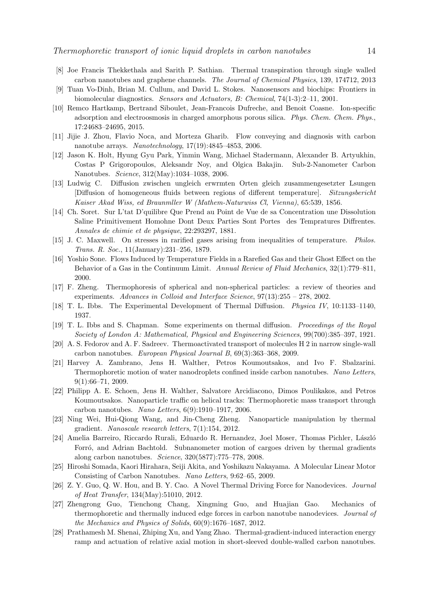- <span id="page-14-0"></span>[8] Joe Francis Thekkethala and Sarith P. Sathian. Thermal transpiration through single walled carbon nanotubes and graphene channels. The Journal of Chemical Physics, 139, 174712, 2013
- <span id="page-14-1"></span>[9] Tuan Vo-Dinh, Brian M. Cullum, and David L. Stokes. Nanosensors and biochips: Frontiers in biomolecular diagnostics. Sensors and Actuators, B: Chemical, 74(1-3):2–11, 2001.
- <span id="page-14-2"></span>[10] Remco Hartkamp, Bertrand Siboulet, Jean-Francois Dufreche, and Benoit Coasne. Ion-specific adsorption and electroosmosis in charged amorphous porous silica. Phys. Chem. Chem. Phys., 17:24683–24695, 2015.
- <span id="page-14-3"></span>[11] Jijie J. Zhou, Flavio Noca, and Morteza Gharib. Flow conveying and diagnosis with carbon nanotube arrays. Nanotechnology, 17(19):4845–4853, 2006.
- <span id="page-14-4"></span>[12] Jason K. Holt, Hyung Gyu Park, Yinmin Wang, Michael Stadermann, Alexander B. Artyukhin, Costas P Grigoropoulos, Aleksandr Noy, and Olgica Bakajin. Sub-2-Nanometer Carbon Nanotubes. Science, 312(May):1034–1038, 2006.
- <span id="page-14-5"></span>[13] Ludwig C. Diffusion zwischen ungleich erwrmten Orten gleich zusammengesetzter Lsungen [Diffusion of homogeneous fluids between regions of different temperature]. Sitzungsbericht Kaiser Akad Wiss, ed Braunmller W (Mathem-Naturwiss Cl, Vienna), 65:539, 1856.
- <span id="page-14-6"></span>[14] Ch. Soret. Sur L'tat D'quilibre Que Prend au Point de Vue de sa Concentration une Dissolution Saline Primitivement Homohne Dont Deux Parties Sont Portes des Tempratures Diffrentes. Annales de chimie et de physique, 22:293297, 1881.
- <span id="page-14-7"></span>[15] J. C. Maxwell. On stresses in rarified gases arising from inequalities of temperature. Philos. Trans. R. Soc., 11(January):231–256, 1879.
- <span id="page-14-8"></span>[16] Yoshio Sone. Flows Induced by Temperature Fields in a Rarefied Gas and their Ghost Effect on the Behavior of a Gas in the Continuum Limit. Annual Review of Fluid Mechanics, 32(1):779–811, 2000.
- <span id="page-14-9"></span>[17] F. Zheng. Thermophoresis of spherical and non-spherical particles: a review of theories and experiments. Advances in Colloid and Interface Science, 97(13):255 – 278, 2002.
- <span id="page-14-10"></span>[18] T. L. Ibbs. The Experimental Development of Thermal Diffusion. Physica IV, 10:1133–1140, 1937.
- <span id="page-14-11"></span>[19] T. L. Ibbs and S. Chapman. Some experiments on thermal diffusion. Proceedings of the Royal Society of London A: Mathematical, Physical and Engineering Sciences, 99(700):385–397, 1921.
- <span id="page-14-12"></span>[20] A. S. Fedorov and A. F. Sadreev. Thermoactivated transport of molecules H 2 in narrow single-wall carbon nanotubes. European Physical Journal B, 69(3):363–368, 2009.
- <span id="page-14-13"></span>[21] Harvey A. Zambrano, Jens H. Walther, Petros Koumoutsakos, and Ivo F. Sbalzarini. Thermophoretic motion of water nanodroplets confined inside carbon nanotubes. Nano Letters, 9(1):66–71, 2009.
- <span id="page-14-14"></span>[22] Philipp A. E. Schoen, Jens H. Walther, Salvatore Arcidiacono, Dimos Poulikakos, and Petros Koumoutsakos. Nanoparticle traffic on helical tracks: Thermophoretic mass transport through carbon nanotubes. Nano Letters, 6(9):1910–1917, 2006.
- <span id="page-14-15"></span>[23] Ning Wei, Hui-Qiong Wang, and Jin-Cheng Zheng. Nanoparticle manipulation by thermal gradient. Nanoscale research letters, 7(1):154, 2012.
- <span id="page-14-16"></span>[24] Amelia Barreiro, Riccardo Rurali, Eduardo R. Hernandez, Joel Moser, Thomas Pichler, László Forró, and Adrian Bachtold. Subnanometer motion of cargoes driven by thermal gradients along carbon nanotubes. Science, 320(5877):775–778, 2008.
- <span id="page-14-17"></span>[25] Hiroshi Somada, Kaori Hirahara, Seiji Akita, and Yoshikazu Nakayama. A Molecular Linear Motor Consisting of Carbon Nanotubes. Nano Letters, 9:62–65, 2009.
- <span id="page-14-18"></span>[26] Z. Y. Guo, Q. W. Hou, and B. Y. Cao. A Novel Thermal Driving Force for Nanodevices. Journal of Heat Transfer, 134(May):51010, 2012.
- <span id="page-14-19"></span>[27] Zhengrong Guo, Tienchong Chang, Xingming Guo, and Huajian Gao. Mechanics of thermophoretic and thermally induced edge forces in carbon nanotube nanodevices. Journal of the Mechanics and Physics of Solids, 60(9):1676–1687, 2012.
- <span id="page-14-20"></span>[28] Prathamesh M. Shenai, Zhiping Xu, and Yang Zhao. Thermal-gradient-induced interaction energy ramp and actuation of relative axial motion in short-sleeved double-walled carbon nanotubes.